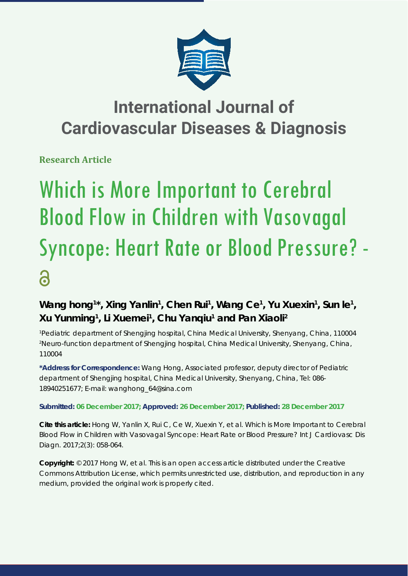

# **International Journal of Cardiovascular Diseases & Diagnosis**

**Research Article**

# Which is More Important to Cerebral Blood Flow in Children with Vasovagal Syncope: Heart Rate or Blood Pressure? - 6

## Wang hong<sup>1\*</sup>, Xing Yanlin<sup>1</sup>, Chen Rui<sup>1</sup>, Wang Ce<sup>1</sup>, Yu Xuexin<sup>1</sup>, Sun le<sup>1</sup>, **Xu Yunming1 , Li Xuemei1 , Chu Yanqiu1 and Pan Xiaoli2**

*1 Pediatric department of Shengjing hospital, China Medical University, Shenyang, China, 110004 2 Neuro-function department of Shengjing hospital, China Medical University, Shenyang, China, 110004*

**\*Address for Correspondence:** Wang Hong, Associated professor, deputy director of Pediatric department of Shengjing hospital, China Medical University, Shenyang, China, Tel: 086- 18940251677; E-mail: wanghong\_64@sina.com

### **Submitted: 06 December 2017; Approved: 26 December 2017; Published: 28 December 2017**

**Cite this article:** Hong W, Yanlin X, Rui C, Ce W, Xuexin Y, et al. Which is More Important to Cerebral Blood Flow in Children with Vasovagal Syncope: Heart Rate or Blood Pressure? Int J Cardiovasc Dis Diagn. 2017;2(3): 058-064.

**Copyright:** © 2017 Hong W, et al. This is an open access article distributed under the Creative Commons Attribution License, which permits unrestricted use, distribution, and reproduction in any medium, provided the original work is properly cited.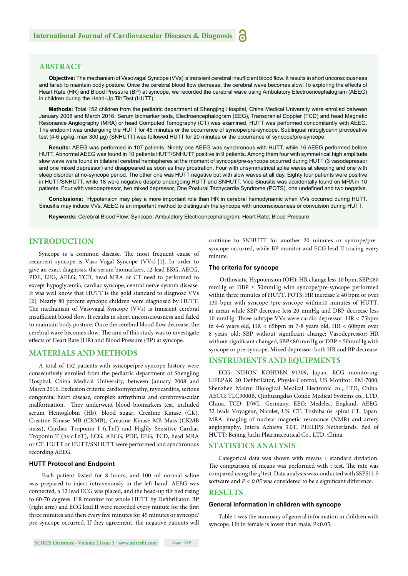#### **ABSTRACT**

Objective: The mechanism of Vasovagal Syncope (VVs) is transient cerebral insufficient blood flow. It results in short unconsciousness and failed to maintain body posture. Once the cerebral blood flow decrease, the cerebral wave becomes slow. To exploring the effects of Heart Rate (HR) and Blood Pressure (BP) at syncope, we recorded the cerebral wave using Ambulatory Electroencephalogram (AEEG) in children during the Head-Up Tilt Test (HUTT).

**Methods:** Total 152 children from the pediatric department of Shengjing Hospital, China Medical University were enrolled between January 2008 and March 2016. Serum biomarker tests, Electroencephalogram (EEG), Transcranial Doppler (TCD) and head Magnetic Resonance Angiography (MRA) or head Computed Tomography (CT) was examined. HUTT was performed concomitantly with AEEG. The endpoint was undergoing the HUTT for 45 minutes or the occurrence of syncope/pre-syncope. Sublingual nitroglycerin provocative test (4-6 μg/kg, max 300 μg) (SNHUTT) was followed HUTT for 20 minutes or the occurrence of syncope/pre-syncope.

**Results:** AEEG was performed in 107 patients. Ninety one AEEG was synchronous with HUTT, while 16 AEEG performed before HUTT. Abnormal AEEG was found in 10 patients HUTT/SNHUTT positive in 9 patients. Among them four with symmetrical high amplitude slow wave were found in bilateral cerebral hemispheres at the moment of syncope/pre-syncope occurred during HUTT (3 vasodepressor and one mixed depressor) and disappeared as soon as they prostration. Four with unsymmetrical spike waves at sleeping and one with sleep disorder at no-syncope period. The other one was HUTT negative but with slow waves at all day. Eighty four patients were positive in HUTT/SNHUTT, while 18 were negative despite undergoing HUTT and SNHUTT. Vice Sinusitis was accidentally found on MRA in 10 patients. Four with vasodepressor, two mixed depressor, One Postural Tachycardia Syndrome (POTS), one undefined and two negative.

**Conclusions:** Hypotension may play a more important role than HR in cerebral hemodynamic when VVs occurred during HUTT. Sinusitis may induce VVs. AEEG is an important method to distinguish the syncope with unconsciousness or convulsion during HUTT.

**Keywords:** Cerebral Blood Flow; Syncope; Ambulatory Electroencephalogram; Heart Rate; Blood Pressure

#### **INTRODUCTION**

Syncope is a common disease. The most frequent cause of recurrent syncope is Vaso-Vagal Syncope (VVs) [1]. In order to give an exact diagnosis, the serum biomarkers, 12-lead EKG, AECG, PDE, EEG, AEEG, TCD, head MRA or CT need to performed to except hypoglycemia, cardiac syncope, central nerve systom disease. It was well know that HUTT is the gold standard to diagnose VVs [2]. Nearly 80 percent syncope children were diagnosed by HUTT. The mechanism of Vasovagal Syncope (VVs) is transient cerebral insufficient blood flow. It results in short unconsciousness and failed to maintain body posture. Once the cerebral blood flow decrease, the cerebral wave becomes slow. The aim of this study was to investigate effects of Heart Rate (HR) and Blood Pressure (BP) at syncope.

#### **MATERIALS AND METHODS**

A total of 152 patients with syncope/pre syncope history were consecutively enrolled from the pediatric department of Shengjing Hospital, China Medical University, between January 2008 and March 2016. Exclusion criteria: cardiomyopathy, myocarditis, serious congenital heart disease, complex arrhythmia and cerebrovascular malformation. They underwent blood biomarkers test, included serum Hemoglobin (Hb), blood sugar, Creatine Kinase (CK), Creatine Kinase MB (CKMB), Creatine Kinase MB Mass (CKMB mass), Cardiac Troponin I (cTnI) and Highly Sensitive Cardiac Troponin T (hs-cTnT), ECG, AECG, PDE, EEG, TCD, head MRA or CT. HUTT or HUTT/SNHUTT were performed and synchronous recording AEEG.

#### **HUTT Protocol and Endpoint**

 Each patient fasted for 8 hours, and 100 ml normal saline was prepared to inject intravenously in the left hand. AEEG was connected, a 12 lead ECG was placed, and the head-up tilt bed rising to 60-70 degrees. HR monitor for whole HUTT by Defibrillator. BP (right arm) and ECG lead II were recorded every minute for the first three minutes and then every five minutes for 45 minutes or syncope/ pre-syncope occurred. If they agreement, the negative patients will continue to SNHUTT for another 20 minutes or syncope/pre– syncope occurred, while BP monitor and ECG lead II tracing every minute.

#### **The criteria for syncope**

Orthostatic Hypotension (OH): HR change less 10 bpm, SBP≤80 mmHg or  $DBP \leq 50$ mmHg with syncope/pre-syncope performed within three minutes of HUTT. POTS: HR increase  $\geq 40$  bpm or over 130 bpm with syncope /pre-syncope within10 minutes of HUTT, at mean while SBP decrease less 20 mmHg and DBP decrease less 10 mmHg. Three subtype VVs were cardio depressor: HR < 75bpm in 4-6 years old,  $HR < 65$ bpm in 7-8 years old,  $HR < 60$ bpm over 8 years old; SBP without significant change; Vasodepressor: HR without significant changed, SBP≤80 mmHg or DBP ≤ 50mmHg with syncope or pre-syncope; Mixed depressor: both HR and BP decrease.

#### **INSTRUMENTS AND EQUIPMENTS**

ECG: NIHON KOHDEN 91309, Japan. ECG monitoring: LIFEPAK 20 Defibrillator, Physio-Control, US Monitor: PM-7000, Shenzhen Mairui Biological Medical Electronic co., LTD, China. AECG: TLC3000B, Qinhuangdao Conde Medical Systems co., LTD, China. TCD: DWL, Germany. EEG: Medelec, England. AEEG: 32 leads Voyageur, Nicolet, US. CT: Toshiba 64 spiral CT, Japan. MRA: imaging of nuclear magnetic resonance (NMR) and artery angiography, Intera Achieva 3.0T, PHILIPS Netherlands. Bed of HUTT: Beijing Juchi Pharmaceutical Co., LTD, China.

#### **STATISTICS ANALYSIS**

Categorical data was shown with means  $\pm$  standard deviation. The comparison of means was performed with t test. The rate was compared using the  $\chi^2$  test. Data analysis was conducted with SSPS11.5 software and  $P < 0.05$  was considered to be a significant difference.

#### **RESULTS**

#### **General information in children with syncope**

Table 1 was the summary of general information in children with syncope. Hb in female is lower than male, P<0.05.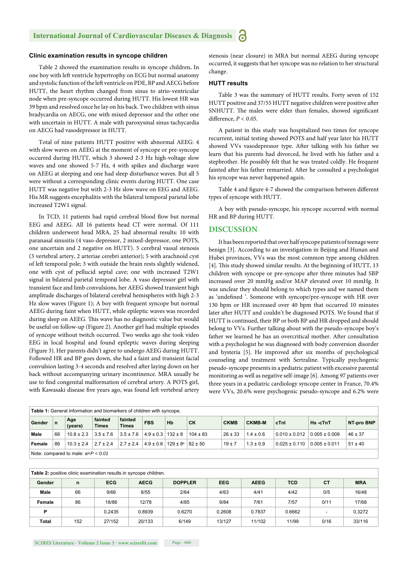#### **Clinic examination results in syncope children**

Table 2 showed the examination results in syncope children**.** In one boy with left ventricle hypertrophy on ECG but normal anatomy and systolic function of the left ventricle on PDE, BP and AECG before HUTT, the heart rhythm changed from sinus to atrio-ventricular node when pre-syncope occurred during HUTT. His lowest HR was 39 bpm and resolved once he lay on his back. Two children with sinus bradycardia on AECG, one with mixed depressor and the other one with uncertain in HUTT. A male with paroxysmal sinus tachycardia on AECG had vasodepressor in HUTT.

Total of nine patients HUTT positive with abnormal AEEG: 4 with slow waves on AEEG at the moment of syncope or pre-syncope occurred during HUTT, which 3 showed 2-3 Hz high-voltage slow waves and one showed 5-7 Hz, 4 with spikes and discharge wave on AEEG at sleeping and one had sleep disturbance waves. But all 5 were without a corresponding clinic events during HUTT. One case HUTT was negative but with 2-3 Hz slow wave on EEG and AEEG. His MR suggests encephalitis with the bilateral temporal parietal lobe increased T2W1 signal.

In TCD, 11 patients had rapid cerebral blood flow but normal EEG and AEEG. All 16 patients head CT were normal. Of 111 children underwent head MRA, 25 had abnormal results: 10 with paranasal sinusitis (4 vaso-depressor, 2 mixed-depressor, one POTS, one uncertain and 2 negative on HUTT). 5 cerebral vassal stenosis (3 vertebral artery, 2 arteriae cerebri anterior); 5 with arachnoid cyst of left temporal pole; 3 with outside the brain rests slightly widened, one with cyst of pellucid septal cave; one with increased T2W1 signal in bilateral parietal temporal lobe. A vaso depressor girl with transient face and limb convulsions, her AEEG showed transient high amplitude discharges of bilateral cerebral hemispheres with high 2-3 Hz slow waves (Figure 1); A boy with frequent syncope but normal AEEG during faint when HUTT, while epileptic waves was recorded during sleep on AEEG. This wave has no diagnostic value but would be useful on follow-up (Figure 2). Another girl had multiple episodes of syncope without twitch occurred. Two weeks ago she took video EEG in local hospital and found epileptic waves during sleeping (Figure 3). Her parents didn't agree to undergo AEEG during HUTT. Followed HR and BP goes down, she had a faint and transient facial convulsion lasting 3-4 seconds and resolved after laying down on her back without accompanying urinary incontinence. MRA usually be use to find congenital malformation of cerebral artery. A POTS girl, with Kawasaki disease five years ago, was found left vertebral artery stenosis (near closure) in MRA but normal AEEG during syncope occurred, it suggests that her syncope was no relation to her structural change.

#### **HUTT results**

Table 3 was the summary of HUTT results. Forty seven of 152 HUTT positive and 37/55 HUTT negative children were positive after SNHUTT. The males were elder than females, showed significant difference,  $P < 0.05$ .

A patient in this study was hospitalized two times for syncope recurrent, initial testing showed POTS and half year later his HUTT showed VVs vasodepressor type. After talking with his father we learn that his parents had divorced, he lived with his father and a stepbrother. He possibly felt that he was treated coldly. He frequent fainted after his father remarried. After he consulted a psychologist his syncope was never happened again.

Table 4 and figure 4-7 showed the comparison between different types of syncope with HUTT.

A boy with pseudo-syncope, his syncope occurred with normal HR and BP during HUTT.

#### **DISCUSSION**

It has been reported that over half syncope patients of teenage were benign [3]. According to an investigation in Beijing and Hunan and Hubei provinces, VVs was the most common type among children [4]. This study showed similar results. At the beginning of HUTT, 13 children with syncope or pre-syncope after three minutes had SBP increased over 20 mmHg and/or MAP elevated over 10 mmHg. It was unclear they should belong to which types and we named them as 'undefined '. Someone with syncope/pre-syncope with HR over 130 bpm or HR increased over 40 bpm that occurred 10 minutes later after HUTT and couldn't be diagnosed POTS. We found that if HUTT is continued, their BP or both BP and HR dropped and should belong to VVs. Further talking about with the pseudo-syncope boy's father we learned he has an overcritical mother. After consultation with a psychologist he was diagnosed with body conversion disorder and hysteria [5]. He improved after six months of psychological counseling and treatment with Sertraline. Typically psychogenic pseudo-syncope presents in a pediatric patient with excessive parental monitoring as well as negative self-image [6]. Among 97 patients over three years in a pediatric cardiology syncope center in France, 70.4% were VVs, 20.6% were psychogenic pseudo-syncope and 6.2% were

| <b>Table 1:</b> General information and biomarkers of children with syncope. |    |                |                         |                         |                             |                                                        |              |             |               |                                 |                   |             |
|------------------------------------------------------------------------------|----|----------------|-------------------------|-------------------------|-----------------------------|--------------------------------------------------------|--------------|-------------|---------------|---------------------------------|-------------------|-------------|
| Gender                                                                       | n  | Age<br>(years) | fainted<br><b>Times</b> | fainted<br><b>Times</b> | <b>FBS</b>                  | Hb                                                     | CK           | <b>CKMB</b> | <b>CKMB-M</b> | cTnl                            | Hs-cTnT           | NT-pro BNP  |
| Male                                                                         | 66 | $10.8 \pm 2.3$ | $3.5 \pm 7.6$           | $3.5 \pm 7.6$           | $4.9 \pm 0.3$   132 $\pm$ 8 |                                                        | $104 \pm 83$ | $26 \pm 33$ | $1.4 \pm 0.6$ | $0.010 \pm 0.012$ 0.005 ± 0.009 |                   | $46 \pm 37$ |
| Female                                                                       | 86 | $10.3 \pm 2.4$ | $2.7 \pm 2.4$           | $2.7 \pm 2.4$           |                             | $4.9 \pm 0.6$   129 $\pm$ 8 <sup>a</sup>   82 $\pm$ 50 |              | $19 \pm 7$  | $1.3 \pm 0.9$ | $0.025 \pm 0.110$               | $0.005 \pm 0.011$ | $51 \pm 40$ |
| Note: compared to male: $a = P < 0.01$                                       |    |                |                         |                         |                             |                                                        |              |             |               |                                 |                   |             |

| Table 2: positive clinic examination results in syncope children. |     |            |             |                |            |             |            |      |            |  |  |
|-------------------------------------------------------------------|-----|------------|-------------|----------------|------------|-------------|------------|------|------------|--|--|
| Gender                                                            | n   | <b>ECG</b> | <b>AECG</b> | <b>DOPPLER</b> | <b>EEG</b> | <b>AEEG</b> | <b>TCD</b> | СT   | <b>MRA</b> |  |  |
| Male                                                              | 66  | 9/66       | 8/55        | 2/64           | 4/63       | 4/41        | 4/42       | 0/5  | 16/48      |  |  |
| Female                                                            | 86  | 18/86      | 12/78       | 4/85           | 9/84       | 7/61        | 7/57       | 0/11 | 17/68      |  |  |
| P                                                                 |     | 0.2435     | 0.8939      | 0.6270         | 0.2608     | 0.7837      | 0.6662     |      | 0.3272     |  |  |
| Total                                                             | 152 | 27/152     | 20/133      | 6/149          | 13/127     | 11/102      | 11/99      | 0/16 | 33/116     |  |  |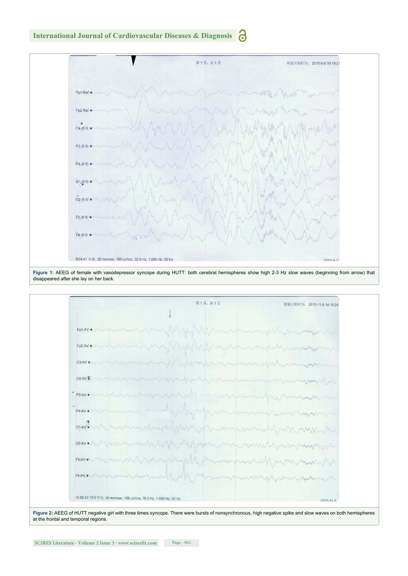

at the frontal and temporal regions.



**Figure 2:** AEEG of HUTT negative girl with three times syncope. There were bursts of nonsynchronous, high negative spike and slow waves on both hemispheres

**Figure 1:** AEEG of female with vasodepressor syncope during HUTT: both cerebral hemispheres show high 2-3 Hz slow waves (beginning from arrow) that disappeared after she lay on her back.



#### **International Journal of Cardiovascular Diseases & Diagnosis** 6

检验开始时间: 2015-9-9 10:19:21

第1页,共1页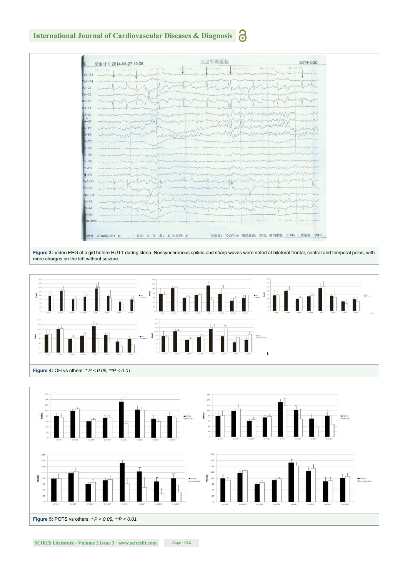#### ခ **International Journal of Cardiovascular Diseases & Diagnosis**





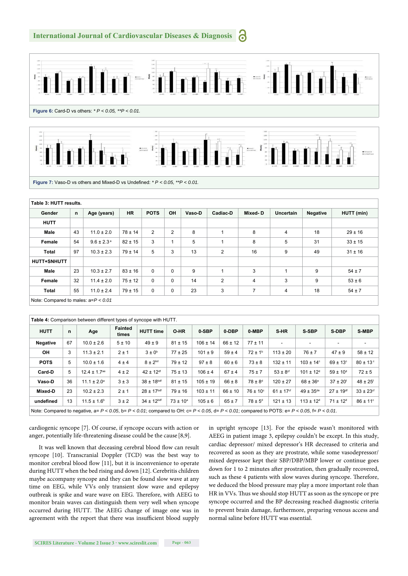#### **International Journal of Cardiovascular Diseases & Diagnosis** ä٦





| Table 3: HUTT results.                  |    |                       |             |             |                |        |                |         |                  |          |             |
|-----------------------------------------|----|-----------------------|-------------|-------------|----------------|--------|----------------|---------|------------------|----------|-------------|
| Gender                                  | n  | Age (years)           | <b>HR</b>   | <b>POTS</b> | OH             | Vaso-D | Cadiac-D       | Mixed-D | <b>Uncertain</b> | Negative | HUTT (min)  |
| <b>HUTT</b>                             |    |                       |             |             |                |        |                |         |                  |          |             |
| Male                                    | 43 | $11.0 \pm 2.0$        | $78 \pm 14$ | 2           | $\overline{2}$ | 8      |                | 8       | 4                | 18       | $29 \pm 16$ |
| Female                                  | 54 | $9.6 \pm 2.3^{\circ}$ | $82 \pm 15$ | 3           |                | 5      |                | 8       | 5                | 31       | $33 \pm 15$ |
| <b>Total</b>                            | 97 | $10.3 \pm 2.3$        | $79 \pm 14$ | 5           | 3              | 13     | $\overline{2}$ | 16      | 9                | 49       | $31 \pm 16$ |
| HUTT+SNHUTT                             |    |                       |             |             |                |        |                |         |                  |          |             |
| Male                                    | 23 | $10.3 \pm 2.7$        | $83 \pm 16$ | $\Omega$    | $\Omega$       | 9      | 1              | 3       | $\overline{ }$   | 9        | $54 \pm 7$  |
| Female                                  | 32 | $11.4 \pm 2.0$        | $75 \pm 12$ | $\mathbf 0$ | $\Omega$       | 14     | $\overline{2}$ | 4       | 3                | 9        | $53 \pm 6$  |
| <b>Total</b>                            | 55 | $11.0 \pm 2.4$        | $79 \pm 15$ | $\mathbf 0$ | $\mathbf 0$    | 23     | 3              | 7       | 4                | 18       | $54 \pm 7$  |
| Note: Compared to males: $a = P < 0.01$ |    |                       |             |             |                |        |                |         |                  |          |             |

| Table 4: Comparison between different types of syncope with HUTT.                                                                                                   |    |                              |                         |                            |               |              |             |                          |                           |                           |                           |                           |
|---------------------------------------------------------------------------------------------------------------------------------------------------------------------|----|------------------------------|-------------------------|----------------------------|---------------|--------------|-------------|--------------------------|---------------------------|---------------------------|---------------------------|---------------------------|
| <b>HUTT</b>                                                                                                                                                         | n  | Age                          | <b>Fainted</b><br>times | <b>HUTT time</b>           | O-HR          | 0-SBP        | 0-DBP       | 0-MBP                    | S-HR                      | S-SBP                     | S-DBP                     | <b>S-MBP</b>              |
| <b>Negative</b>                                                                                                                                                     | 67 | $10.0 \pm 2.6$               | 5 ± 10                  | $49 \pm 9$                 | $81 \pm 15$   | $106 \pm 14$ | $66 \pm 12$ | $77 + 11$                | $\overline{\phantom{a}}$  |                           | ۰                         |                           |
| OH                                                                                                                                                                  | 3  | $11.3 \pm 2.1$               | $2 \pm 1$               | $3 \pm 0^6$                | $77 \pm 25$   | $101 \pm 9$  | $59 \pm 4$  | $72 \pm 1^6$             | $113 \pm 20$              | $76 \pm 7$                | $47 \pm 9$                | $58 \pm 12$               |
| <b>POTS</b>                                                                                                                                                         | 5  | $10.0 \pm 1.6$               | 4±4                     | $8 \pm 2^{bd}$             | $79 \pm 12$   | $97 \pm 8$   | $60 \pm 6$  | $73 \pm 8$               | $132 \pm 11$              | $103 \pm 14^{\circ}$      | $69 \pm 13^{\circ}$       | $80 \pm 13$ °             |
| Card-D                                                                                                                                                              | 5  | $12.4 \pm 1.7$ <sup>ae</sup> | $4 \pm 2$               | $42 \pm 12$ <sup>df</sup>  | $75 \pm 13$   | $106 \pm 4$  | $67 \pm 4$  | $75 \pm 7$               | $53 \pm 8$ <sup>cf</sup>  | $101 \pm 12$ <sup>d</sup> | $59 \pm 10^{\circ}$       | $72 \pm 5$                |
| Vaso-D                                                                                                                                                              | 36 | $11.1 \pm 2.0^a$             | $3 \pm 3$               | $38 \pm 18$ bdf            | $81 \pm 15$   | $105 \pm 19$ | $66 \pm 8$  | $78 \pm 8^{\circ}$       | $120 \pm 27$              | $68 \pm 36^{\circ}$       | $37 \pm 20^{\circ}$       | $48 \pm 25$ <sup>f</sup>  |
| Mixed-D                                                                                                                                                             | 23 | $10.2 \pm 2.3$               | $2 \pm 1$               | $28 \pm 17$ <sup>bdf</sup> | $79 \pm 16$   | $103 \pm 11$ | $66 \pm 10$ | $76 \pm 10$ <sup>c</sup> | $61 \pm 17$ <sup>cf</sup> | $49 \pm 35^{\text{de}}$   | $27 \pm 19$ <sup>df</sup> | $33 \pm 23$ <sup>cf</sup> |
| undefined                                                                                                                                                           | 13 | $11.5 \pm 1.6^{\circ}$       | $3 \pm 2$               | 34 ± 12bdf                 | $73 \pm 10^a$ | $105 \pm 6$  | $65 \pm 7$  | $78 \pm 5^{\circ}$       | $121 \pm 13$              | $113 \pm 12$ <sup>d</sup> | $71 \pm 12^d$             | $86 \pm 11^{\circ}$       |
| Note: Compared to negative, $a = P < 0.05$ , $b = P < 0.01$ ; compared to OH: $c = P < 0.05$ , $d = P < 0.01$ ; compared to POTS: $e = P < 0.05$ , $f = P < 0.01$ . |    |                              |                         |                            |               |              |             |                          |                           |                           |                           |                           |

cardiogenic syncope [7]. Of course, if syncope occurs with action or anger, potentially life-threatening disease could be the cause [8,9].

It was well known that deceasing cerebral blood flow can result syncope [10]. Transcranial Doppler (TCD) was the best way to monitor cerebral blood flow [11], but it is inconvenience to operate during HUTT when the bed rising and down [12]. Cerebritis children maybe accompany syncope and they can be found slow wave at any time on EEG, while VVs only transient slow wave and epilepsy outbreak is spike and ware wave on EEG. Therefore, with AEEG to monitor brain waves can distinguish them very well when syncope occurred during HUTT. The AEEG change of image one was in agreement with the report that there was insufficient blood supply in upright syncope [13]. For the episode wasn't monitored with AEEG in patient image 3, epilepsy couldn't be except. In this study, cardiac depressor/ mixed depressor's HR decreased to criteria and recovered as soon as they are prostrate, while some vasodepressor/ mixed depressor kept their SBP/DBP/MBP lower or continue goes down for 1 to 2 minutes after prostration, then gradually recovered, such as these 4 patients with slow waves during syncope. Therefore, we deduced the blood pressure may play a more important role than HR in VVs. Thus we should stop HUTT as soon as the syncope or pre syncope occurred and the BP decreasing reached diagnostic criteria to prevent brain damage, furthermore, preparing venous access and normal saline before HUTT was essential.